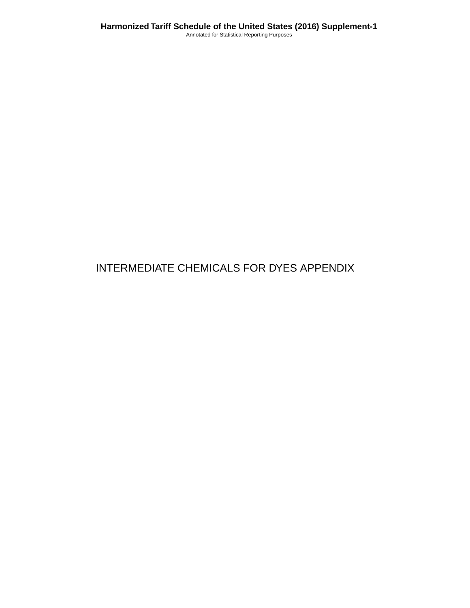# INTERMEDIATE CHEMICALS FOR DYES APPENDIX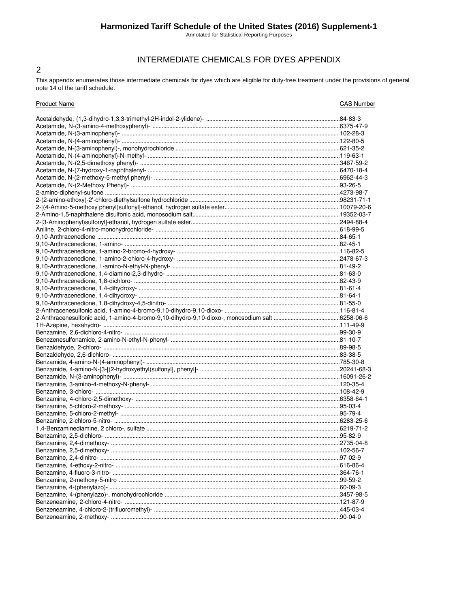## Harmonized Tariff Schedule of the United States (2016) Supplement-1

Annotated for Statistical Reporting Purposes

## INTERMEDIATE CHEMICALS FOR DYES APPENDIX

This appendix enumerates those intermediate chemicals for dyes which are eligible for duty-free treatment under the provisions of general note 14 of the tariff schedule.

 $\overline{2}$ 

| <b>Product Name</b>       | <b>CAS Number</b> |
|---------------------------|-------------------|
|                           |                   |
|                           |                   |
|                           |                   |
|                           |                   |
|                           |                   |
|                           |                   |
|                           |                   |
|                           |                   |
|                           |                   |
|                           |                   |
|                           |                   |
|                           |                   |
|                           |                   |
|                           |                   |
|                           |                   |
|                           |                   |
|                           |                   |
|                           |                   |
|                           |                   |
|                           |                   |
|                           |                   |
|                           |                   |
|                           |                   |
|                           |                   |
|                           |                   |
|                           |                   |
|                           |                   |
|                           |                   |
|                           |                   |
|                           |                   |
|                           |                   |
|                           |                   |
|                           |                   |
|                           |                   |
|                           |                   |
|                           |                   |
|                           |                   |
|                           |                   |
|                           |                   |
|                           |                   |
|                           |                   |
|                           |                   |
|                           |                   |
| Benzamine, 2,4-dimethoxy- |                   |
|                           |                   |
|                           |                   |
|                           |                   |
|                           |                   |
|                           |                   |
|                           |                   |
|                           |                   |
|                           |                   |
|                           |                   |
|                           |                   |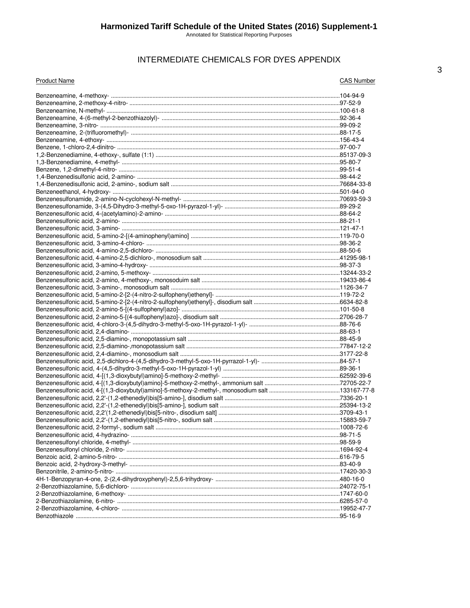## INTERMEDIATE CHEMICALS FOR DYES APPENDIX

| <b>Product Name</b> | <b>CAS Number</b> |
|---------------------|-------------------|
|                     |                   |
|                     |                   |
|                     |                   |
|                     |                   |
|                     |                   |
|                     |                   |
|                     |                   |
|                     |                   |
|                     |                   |
|                     |                   |
|                     |                   |
|                     |                   |
|                     |                   |
|                     |                   |
|                     |                   |
|                     |                   |
|                     |                   |
|                     |                   |
|                     |                   |
|                     |                   |
|                     |                   |
|                     |                   |
|                     |                   |
|                     |                   |
|                     |                   |
|                     |                   |
|                     |                   |
|                     |                   |
|                     |                   |
|                     |                   |
|                     |                   |
|                     |                   |
|                     |                   |
|                     |                   |
|                     |                   |
|                     |                   |
|                     |                   |
|                     |                   |
|                     |                   |
|                     |                   |
|                     |                   |
|                     |                   |
|                     |                   |
|                     |                   |
|                     |                   |
|                     |                   |
|                     |                   |
|                     |                   |
|                     |                   |
|                     |                   |
|                     |                   |
|                     |                   |
|                     |                   |
|                     |                   |
|                     |                   |
|                     |                   |
|                     |                   |
|                     |                   |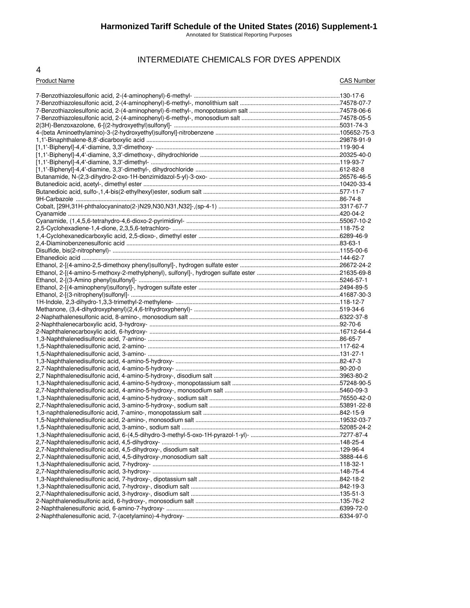Annotated for Statistical Reporting Purposes

## INTERMEDIATE CHEMICALS FOR DYES APPENDIX

#### 4

#### Product Name CAS Number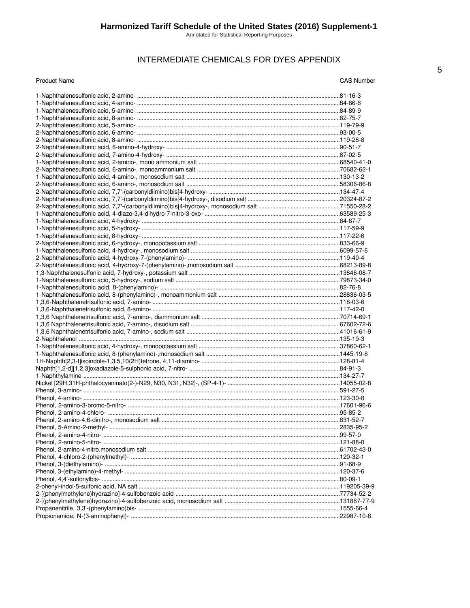Annotated for Statistical Reporting Purposes

## INTERMEDIATE CHEMICALS FOR DYES APPENDIX

#### **Product Name**

**CAS Number**